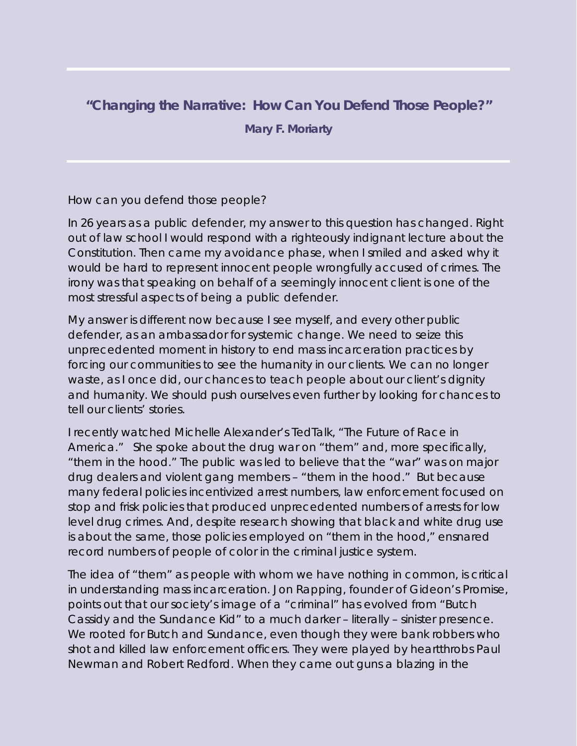## **"Changing the Narrative: How Can You Defend Those People?"**

**Mary F. Moriarty**

How can you defend those people?

In 26 years as a public defender, my answer to this question has changed. Right out of law school I would respond with a righteously indignant lecture about the Constitution. Then came my avoidance phase, when I smiled and asked why it would be hard to represent innocent people wrongfully accused of crimes. The irony was that speaking on behalf of a seemingly innocent client is one of the most stressful aspects of being a public defender.

My answer is different now because I see myself, and every other public defender, as an ambassador for systemic change. We need to seize this unprecedented moment in history to end mass incarceration practices by forcing our communities to see the humanity in our clients. We can no longer waste, as I once did, our chances to teach people about our client's dignity and humanity. We should push ourselves even further by looking for chances to tell our clients' stories.

I recently watched Michelle Alexander's TedTalk, "The Future of Race in America." She spoke about the drug war on "them" and, more specifically, "them in the hood." The public was led to believe that the "war" was on major drug dealers and violent gang members – "them in the hood." But because many federal policies incentivized arrest numbers, law enforcement focused on stop and frisk policies that produced unprecedented numbers of arrests for low level drug crimes. And, despite research showing that black and white drug use is about the same, those policies employed on "them in the hood," ensnared record numbers of people of color in the criminal justice system.

The idea of "them" as people with whom we have nothing in common, is critical in understanding mass incarceration. Jon Rapping, founder of Gideon's Promise, points out that our society's image of a "criminal" has evolved from "Butch Cassidy and the Sundance Kid" to a much darker – literally – sinister presence. We rooted for Butch and Sundance, even though they were bank robbers who shot and killed law enforcement officers. They were played by heartthrobs Paul Newman and Robert Redford. When they came out guns a blazing in the